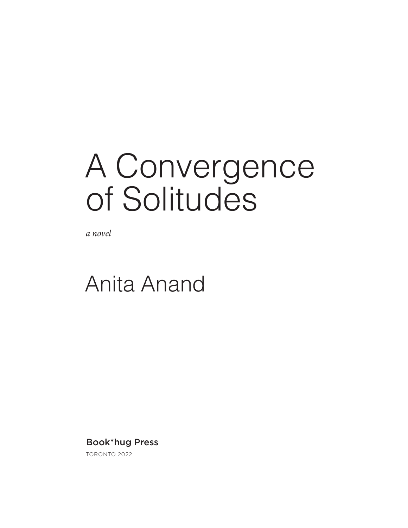## A Convergence of Solitudes

*a novel*

### Anita Anand

### Book\*hug Press

TORONTO 2022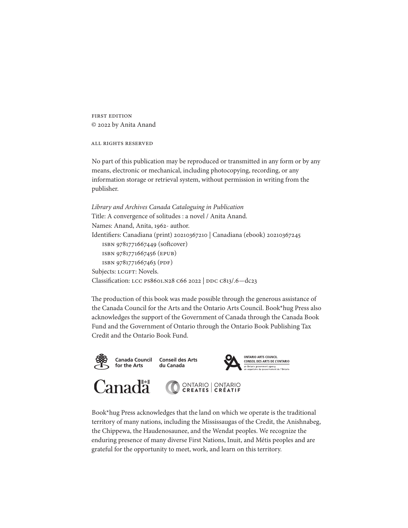**FIRST EDITION** C 2022 by Anita Anand

**ALL RIGHTS RESERVED** 

No part of this publication may be reproduced or transmitted in any form or by any means, electronic or mechanical, including photocopying, recording, or any information storage or retrieval system, without permission in writing from the publisher.

```
Library and Archives Canada Cataloguing in Publication
Title: A convergence of solitudes : a novel / Anita Anand.
Names: Anand, Anita, 1962- author.
Identifiers: Canadiana (print) 20210367210 | Canadiana (ebook) 20210367245
   ISBN 9781771667449 (softcover)
   ISBN 9781771667456 (EPUB)
   ISBN 9781771667463 (PDF)
Subjects: LCGFT: Novels.
Classification: LCC PS8601.N28 C66 2022 | DDC C813/.6-dc23
```
The production of this book was made possible through the generous assistance of the Canada Council for the Arts and the Ontario Arts Council. Book\*hug Press also acknowledges the support of the Government of Canada through the Canada Book Fund and the Government of Ontario through the Ontario Book Publishing Tax Credit and the Ontario Book Fund.



Book\*hug Press acknowledges that the land on which we operate is the traditional territory of many nations, including the Mississaugas of the Credit, the Anishnabeg, the Chippewa, the Haudenosaunee, and the Wendat peoples. We recognize the enduring presence of many diverse First Nations, Inuit, and Métis peoples and are grateful for the opportunity to meet, work, and learn on this territory.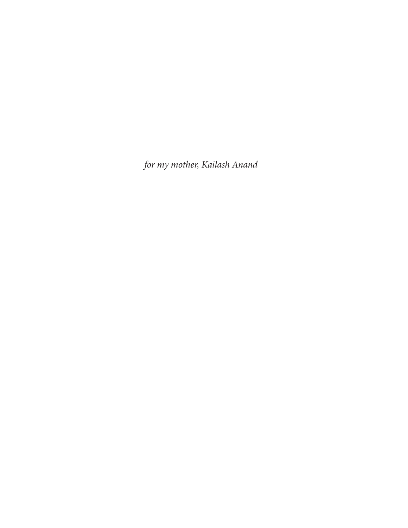*for my mother, Kailash Anand*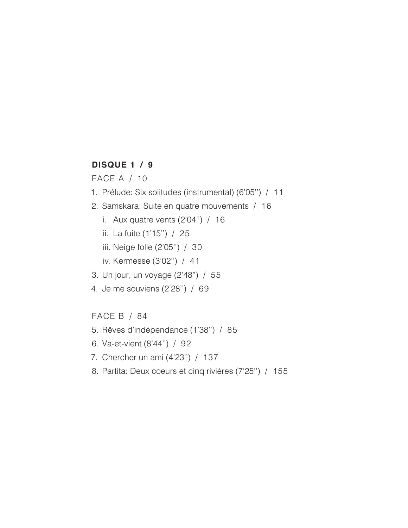#### **DISQUE 1 / 9**

FACE A / 10

- 1. Prélude: Six solitudes (instrumental) (6'05'') / 11
- 2. Samskara: Suite en quatre mouvements / 16
	- i. Aux quatre vents (2'04'') / 16
	- ii. La fuite (1'15'') / 25
	- iii. Neige folle (2'05'') / 30
	- iv. Kermesse (3'02'') / 41
- 3. Un jour, un voyage (2'48") / 55
- 4. Je me souviens (2'28'') / 69

#### FACE B / 84

- 5. Rêves d'indépendance (1'38'') / 85
- 6. Va-et-vient (8'44'') / 92
- 7. Chercher un ami (4'23'') / 137
- 8. Partita: Deux coeurs et cinq rivières (7'25'') / 155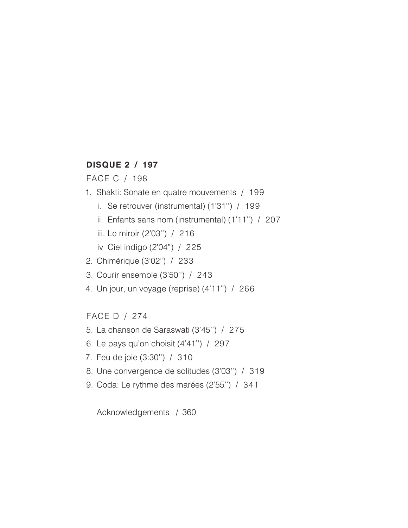#### **DISQUE 2 / 197**

FACE C / 198

- 1. Shakti: Sonate en quatre mouvements / 199
	- i. Se retrouver (instrumental) (1'31'') / 199
	- ii. Enfants sans nom (instrumental) (1'11'') / 207
	- iii. Le miroir (2'03'') / 216

iv Ciel indigo (2'04") / 225

- 2. Chimérique (3'02") / 233
- 3. Courir ensemble (3'50'') / 243
- 4. Un jour, un voyage (reprise) (4'11'') / 266

FACE D / 274

- 5. La chanson de Saraswati (3'45'') / 275
- 6. Le pays qu'on choisit (4'41'') / 297
- 7. Feu de joie (3:30'') / 310
- 8. Une convergence de solitudes (3'03'') / 319
- 9. Coda: Le rythme des marées (2'55'') / 341

Acknowledgements / 360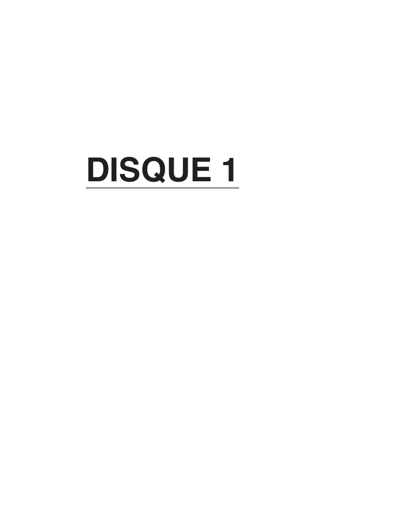# **DISQUE 1**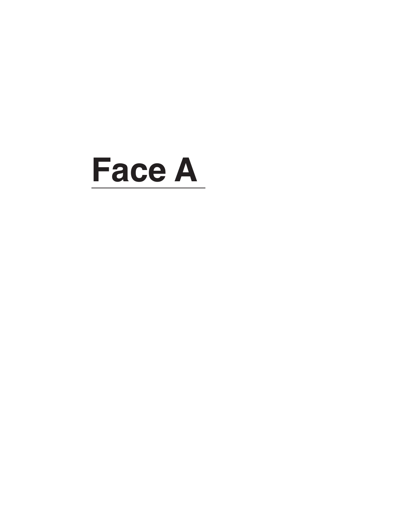## **Face A**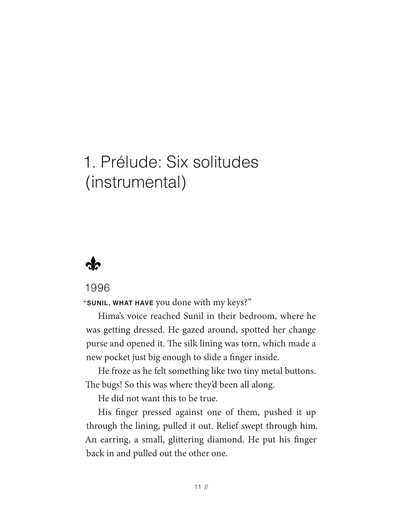### 1. Prélude: Six solitudes (instrumental)



#### 1996

**"SUNIL, WHAT HAVE** you done with my keys?"

Hima's voice reached Sunil in their bedroom, where he was getting dressed. He gazed around, spotted her change purse and opened it. The silk lining was torn, which made a new pocket just big enough to slide a fnger inside.

He froze as he felt something like two tiny metal buttons. The bugs! So this was where they'd been all along.

He did not want this to be true.

His fnger pressed against one of them, pushed it up through the lining, pulled it out. Relief swept through him. An earring, a small, glittering diamond. He put his fnger back in and pulled out the other one.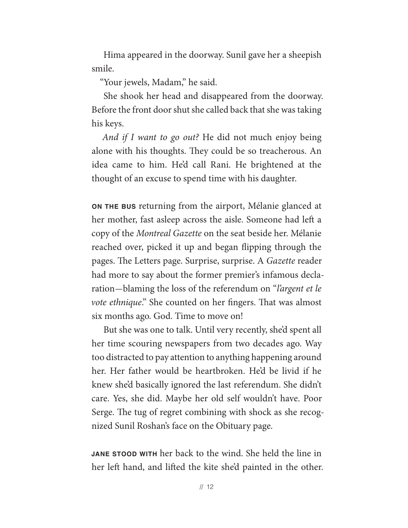Hima appeared in the doorway. Sunil gave her a sheepish smile.

"Your jewels, Madam," he said.

She shook her head and disappeared from the doorway. Before the front door shut she called back that she was taking his keys.

*And if I want to go out?* He did not much enjoy being alone with his thoughts. They could be so treacherous. An idea came to him. He'd call Rani. He brightened at the thought of an excuse to spend time with his daughter.

**ON THE BUS** returning from the airport, Mélanie glanced at her mother, fast asleep across the aisle. Someone had left a copy of the *Montreal Gazette* on the seat beside her. Mélanie reached over, picked it up and began fipping through the pages. The Letters page. Surprise, surprise. A *Gazette* reader had more to say about the former premier's infamous declaration— blaming the loss of the referendum on "*l'argent et le vote ethnique*." She counted on her fingers. That was almost six months ago. God. Time to move on!

But she was one to talk. Until very recently, she'd spent all her time scouring newspapers from two decades ago. Way too distracted to pay attention to anything happening around her. Her father would be heartbroken. He'd be livid if he knew she'd basically ignored the last referendum. She didn't care. Yes, she did. Maybe her old self wouldn't have. Poor Serge. The tug of regret combining with shock as she recognized Sunil Roshan's face on the Obituary page.

**JANE STOOD WITH** her back to the wind. She held the line in her left hand, and lifted the kite she'd painted in the other.